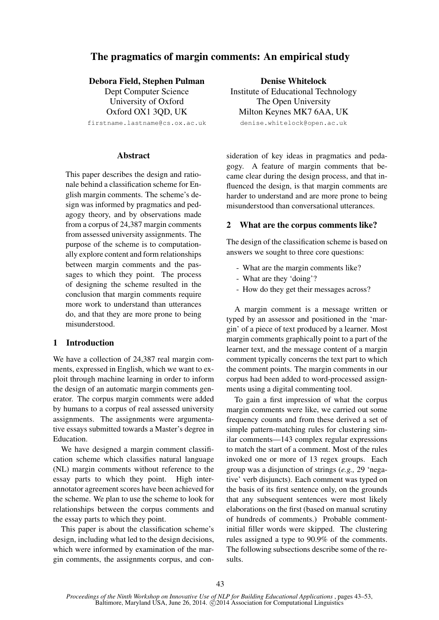# The pragmatics of margin comments: An empirical study

### Debora Field, Stephen Pulman

Dept Computer Science University of Oxford Oxford OX1 3QD, UK

firstname.lastname@cs.ox.ac.uk

### **Abstract**

This paper describes the design and rationale behind a classification scheme for English margin comments. The scheme's design was informed by pragmatics and pedagogy theory, and by observations made from a corpus of 24,387 margin comments from assessed university assignments. The purpose of the scheme is to computationally explore content and form relationships between margin comments and the passages to which they point. The process of designing the scheme resulted in the conclusion that margin comments require more work to understand than utterances do, and that they are more prone to being misunderstood.

## 1 Introduction

We have a collection of 24,387 real margin comments, expressed in English, which we want to exploit through machine learning in order to inform the design of an automatic margin comments generator. The corpus margin comments were added by humans to a corpus of real assessed university assignments. The assignments were argumentative essays submitted towards a Master's degree in Education.

We have designed a margin comment classification scheme which classifies natural language (NL) margin comments without reference to the essay parts to which they point. High interannotator agreement scores have been achieved for the scheme. We plan to use the scheme to look for relationships between the corpus comments and the essay parts to which they point.

This paper is about the classification scheme's design, including what led to the design decisions, which were informed by examination of the margin comments, the assignments corpus, and con-

Denise Whitelock Institute of Educational Technology The Open University Milton Keynes MK7 6AA, UK denise.whitelock@open.ac.uk

sideration of key ideas in pragmatics and pedagogy. A feature of margin comments that became clear during the design process, and that influenced the design, is that margin comments are harder to understand and are more prone to being misunderstood than conversational utterances.

### 2 What are the corpus comments like?

The design of the classification scheme is based on answers we sought to three core questions:

- What are the margin comments like?
- What are they 'doing'?
- How do they get their messages across?

A margin comment is a message written or typed by an assessor and positioned in the 'margin' of a piece of text produced by a learner. Most margin comments graphically point to a part of the learner text, and the message content of a margin comment typically concerns the text part to which the comment points. The margin comments in our corpus had been added to word-processed assignments using a digital commenting tool.

To gain a first impression of what the corpus margin comments were like, we carried out some frequency counts and from these derived a set of simple pattern-matching rules for clustering similar comments—143 complex regular expressions to match the start of a comment. Most of the rules invoked one or more of 13 regex groups. Each group was a disjunction of strings (*e.g.,* 29 'negative' verb disjuncts). Each comment was typed on the basis of its first sentence only, on the grounds that any subsequent sentences were most likely elaborations on the first (based on manual scrutiny of hundreds of comments.) Probable commentinitial filler words were skipped. The clustering rules assigned a type to 90.9% of the comments. The following subsections describe some of the results.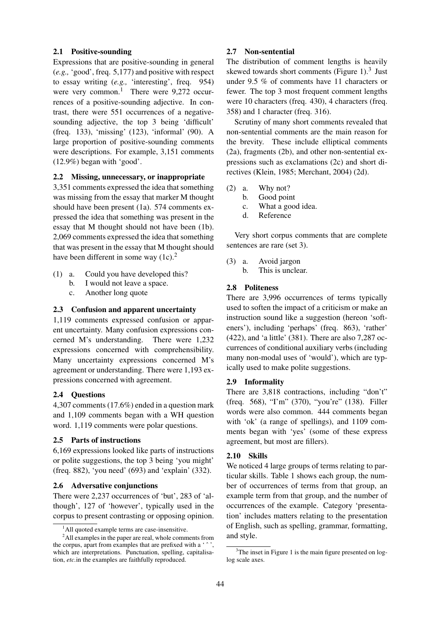# 2.1 Positive-sounding

Expressions that are positive-sounding in general (*e.g.,* 'good', freq. 5,177) and positive with respect to essay writing (*e.g.,* 'interesting', freq. 954) were very common.<sup>1</sup> There were  $9,272$  occurrences of a positive-sounding adjective. In contrast, there were 551 occurrences of a negativesounding adjective, the top 3 being 'difficult' (freq. 133), 'missing' (123), 'informal' (90). A large proportion of positive-sounding comments were descriptions. For example, 3,151 comments (12.9%) began with 'good'.

# 2.2 Missing, unnecessary, or inappropriate

3,351 comments expressed the idea that something was missing from the essay that marker M thought should have been present (1a). 574 comments expressed the idea that something was present in the essay that M thought should not have been (1b). 2,069 comments expressed the idea that something that was present in the essay that M thought should have been different in some way  $(1c)^2$ .

- (1) a. Could you have developed this?
	- b. I would not leave a space.
	- c. Another long quote

# 2.3 Confusion and apparent uncertainty

1,119 comments expressed confusion or apparent uncertainty. Many confusion expressions concerned M's understanding. There were 1,232 expressions concerned with comprehensibility. Many uncertainty expressions concerned M's agreement or understanding. There were 1,193 expressions concerned with agreement.

# 2.4 Questions

4,307 comments (17.6%) ended in a question mark and 1,109 comments began with a WH question word. 1,119 comments were polar questions.

## 2.5 Parts of instructions

6,169 expressions looked like parts of instructions or polite suggestions, the top 3 being 'you might' (freq. 882), 'you need' (693) and 'explain' (332).

## 2.6 Adversative conjunctions

There were 2,237 occurrences of 'but', 283 of 'although', 127 of 'however', typically used in the corpus to present contrasting or opposing opinion.

# 2.7 Non-sentential

The distribution of comment lengths is heavily skewed towards short comments (Figure  $1$ ).<sup>3</sup> Just under 9.5 % of comments have 11 characters or fewer. The top 3 most frequent comment lengths were 10 characters (freq. 430), 4 characters (freq. 358) and 1 character (freq. 316).

Scrutiny of many short comments revealed that non-sentential comments are the main reason for the brevity. These include elliptical comments (2a), fragments (2b), and other non-sentential expressions such as exclamations (2c) and short directives (Klein, 1985; Merchant, 2004) (2d).

- (2) a. Why not?
	- b. Good point
	- c. What a good idea.
	- d. Reference

Very short corpus comments that are complete sentences are rare (set 3).

- (3) a. Avoid jargon
	- b. This is unclear.

# 2.8 Politeness

There are 3,996 occurrences of terms typically used to soften the impact of a criticism or make an instruction sound like a suggestion (hereon 'softeners'), including 'perhaps' (freq. 863), 'rather' (422), and 'a little' (381). There are also 7,287 occurrences of conditional auxiliary verbs (including many non-modal uses of 'would'), which are typically used to make polite suggestions.

## 2.9 Informality

There are 3,818 contractions, including "don't" (freq. 568), "I'm" (370), "you're" (138). Filler words were also common. 444 comments began with 'ok' (a range of spellings), and 1109 comments began with 'yes' (some of these express agreement, but most are fillers).

## 2.10 Skills

We noticed 4 large groups of terms relating to particular skills. Table 1 shows each group, the number of occurrences of terms from that group, an example term from that group, and the number of occurrences of the example. Category 'presentation' includes matters relating to the presentation of English, such as spelling, grammar, formatting, and style.

 $<sup>1</sup>$ All quoted example terms are case-insensitive.</sup>

<sup>&</sup>lt;sup>2</sup>All examples in the paper are real, whole comments from the corpus, apart from examples that are prefixed with a  $\cdot$ which are interpretations. Punctuation, spelling, capitalisation, *etc.*in the examples are faithfully reproduced.

 $3$ The inset in Figure 1 is the main figure presented on loglog scale axes.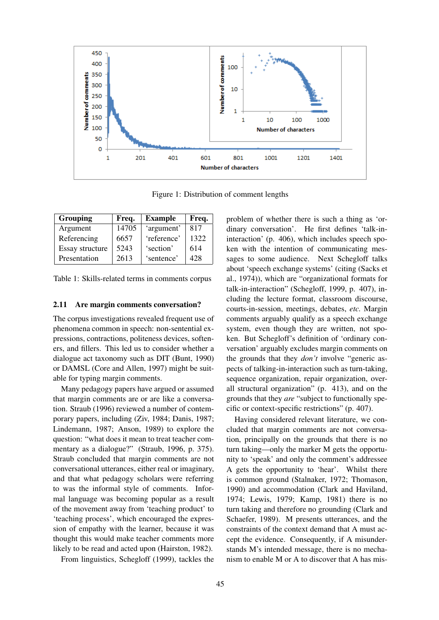

Figure 1: Distribution of comment lengths

| <b>Grouping</b> | Freq. | <b>Example</b> | Freq. |
|-----------------|-------|----------------|-------|
| Argument        | 14705 | 'argument'     | 817   |
| Referencing     | 6657  | 'reference'    | 1322  |
| Essay structure | 5243  | 'section'      | 614   |
| Presentation    | 2613  | 'sentence'     | 42.8  |

Table 1: Skills-related terms in comments corpus

#### 2.11 Are margin comments conversation?

The corpus investigations revealed frequent use of phenomena common in speech: non-sentential expressions, contractions, politeness devices, softeners, and fillers. This led us to consider whether a dialogue act taxonomy such as DIT (Bunt, 1990) or DAMSL (Core and Allen, 1997) might be suitable for typing margin comments.

Many pedagogy papers have argued or assumed that margin comments are or are like a conversation. Straub (1996) reviewed a number of contemporary papers, including (Ziv, 1984; Danis, 1987; Lindemann, 1987; Anson, 1989) to explore the question: "what does it mean to treat teacher commentary as a dialogue?" (Straub, 1996, p. 375). Straub concluded that margin comments are not conversational utterances, either real or imaginary, and that what pedagogy scholars were referring to was the informal style of comments. Informal language was becoming popular as a result of the movement away from 'teaching product' to 'teaching process', which encouraged the expression of empathy with the learner, because it was thought this would make teacher comments more likely to be read and acted upon (Hairston, 1982).

From linguistics, Schegloff (1999), tackles the

problem of whether there is such a thing as 'ordinary conversation'. He first defines 'talk-ininteraction' (p. 406), which includes speech spoken with the intention of communicating messages to some audience. Next Schegloff talks about 'speech exchange systems' (citing (Sacks et al., 1974)), which are "organizational formats for talk-in-interaction" (Schegloff, 1999, p. 407), including the lecture format, classroom discourse, courts-in-session, meetings, debates, *etc.* Margin comments arguably qualify as a speech exchange system, even though they are written, not spoken. But Schegloff's definition of 'ordinary conversation' arguably excludes margin comments on the grounds that they *don't* involve "generic aspects of talking-in-interaction such as turn-taking, sequence organization, repair organization, overall structural organization" (p. 413), and on the grounds that they *are* "subject to functionally specific or context-specific restrictions" (p. 407).

Having considered relevant literature, we concluded that margin comments are not conversation, principally on the grounds that there is no turn taking—only the marker M gets the opportunity to 'speak' and only the comment's addressee A gets the opportunity to 'hear'. Whilst there is common ground (Stalnaker, 1972; Thomason, 1990) and accommodation (Clark and Haviland, 1974; Lewis, 1979; Kamp, 1981) there is no turn taking and therefore no grounding (Clark and Schaefer, 1989). M presents utterances, and the constraints of the context demand that A must accept the evidence. Consequently, if A misunderstands M's intended message, there is no mechanism to enable M or A to discover that A has mis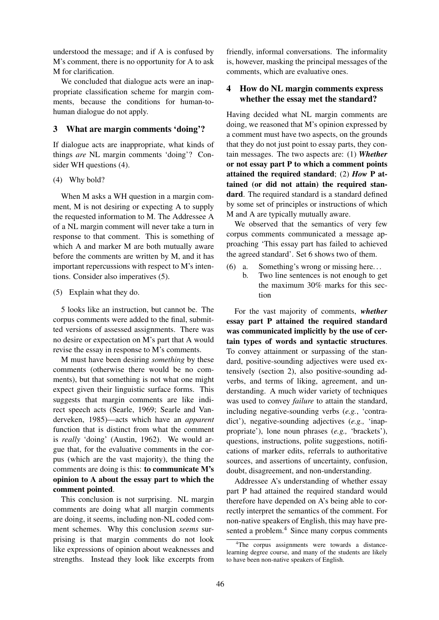understood the message; and if A is confused by M's comment, there is no opportunity for A to ask M for clarification.

We concluded that dialogue acts were an inappropriate classification scheme for margin comments, because the conditions for human-tohuman dialogue do not apply.

## 3 What are margin comments 'doing'?

If dialogue acts are inappropriate, what kinds of things *are* NL margin comments 'doing'? Consider WH questions (4).

### (4) Why bold?

When M asks a WH question in a margin comment, M is not desiring or expecting A to supply the requested information to M. The Addressee A of a NL margin comment will never take a turn in response to that comment. This is something of which A and marker M are both mutually aware before the comments are written by M, and it has important repercussions with respect to M's intentions. Consider also imperatives (5).

#### (5) Explain what they do.

5 looks like an instruction, but cannot be. The corpus comments were added to the final, submitted versions of assessed assignments. There was no desire or expectation on M's part that A would revise the essay in response to M's comments.

M must have been desiring *something* by these comments (otherwise there would be no comments), but that something is not what one might expect given their linguistic surface forms. This suggests that margin comments are like indirect speech acts (Searle, 1969; Searle and Vanderveken, 1985)—acts which have an *apparent* function that is distinct from what the comment is *really* 'doing' (Austin, 1962). We would argue that, for the evaluative comments in the corpus (which are the vast majority), the thing the comments are doing is this: to communicate M's opinion to A about the essay part to which the comment pointed.

This conclusion is not surprising. NL margin comments are doing what all margin comments are doing, it seems, including non-NL coded comment schemes. Why this conclusion *seems* surprising is that margin comments do not look like expressions of opinion about weaknesses and strengths. Instead they look like excerpts from friendly, informal conversations. The informality is, however, masking the principal messages of the comments, which are evaluative ones.

## 4 How do NL margin comments express whether the essay met the standard?

Having decided what NL margin comments are doing, we reasoned that M's opinion expressed by a comment must have two aspects, on the grounds that they do not just point to essay parts, they contain messages. The two aspects are: (1) *Whether* or not essay part P to which a comment points attained the required standard; (2) *How* P attained (or did not attain) the required standard. The required standard is a standard defined by some set of principles or instructions of which M and A are typically mutually aware.

We observed that the semantics of very few corpus comments communicated a message approaching 'This essay part has failed to achieved the agreed standard'. Set 6 shows two of them.

- (6) a. Something's wrong or missing here. . .
	- b. Two line sentences is not enough to get the maximum 30% marks for this section

For the vast majority of comments, *whether* essay part P attained the required standard was communicated implicitly by the use of certain types of words and syntactic structures. To convey attainment or surpassing of the standard, positive-sounding adjectives were used extensively (section 2), also positive-sounding adverbs, and terms of liking, agreement, and understanding. A much wider variety of techniques was used to convey *failure* to attain the standard, including negative-sounding verbs (*e.g.*, 'contradict'), negative-sounding adjectives (*e.g.,* 'inappropriate'), lone noun phrases (*e.g.,* 'brackets'), questions, instructions, polite suggestions, notifications of marker edits, referrals to authoritative sources, and assertions of uncertainty, confusion, doubt, disagreement, and non-understanding.

Addressee A's understanding of whether essay part P had attained the required standard would therefore have depended on A's being able to correctly interpret the semantics of the comment. For non-native speakers of English, this may have presented a problem.<sup>4</sup> Since many corpus comments

<sup>&</sup>lt;sup>4</sup>The corpus assignments were towards a distancelearning degree course, and many of the students are likely to have been non-native speakers of English.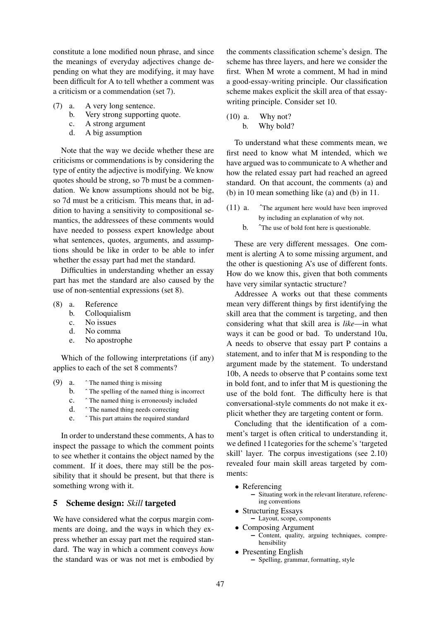constitute a lone modified noun phrase, and since the meanings of everyday adjectives change depending on what they are modifying, it may have been difficult for A to tell whether a comment was a criticism or a commendation (set 7).

- (7) a. A very long sentence.
	- b. Very strong supporting quote.
	- c. A strong argument
	- d. A big assumption

Note that the way we decide whether these are criticisms or commendations is by considering the type of entity the adjective is modifying. We know quotes should be strong, so 7b must be a commendation. We know assumptions should not be big, so 7d must be a criticism. This means that, in addition to having a sensitivity to compositional semantics, the addressees of these comments would have needed to possess expert knowledge about what sentences, quotes, arguments, and assumptions should be like in order to be able to infer whether the essay part had met the standard.

Difficulties in understanding whether an essay part has met the standard are also caused by the use of non-sentential expressions (set 8).

- (8) a. Reference
	- b. Colloquialism
	- c. No issues
	- d. No comma
	- e. No apostrophe

Which of the following interpretations (if any) applies to each of the set 8 comments?

- (9) a.  $\hat{ }$  The named thing is missing
	- b. ˆ The spelling of the named thing is incorrect
	- c. ˆ The named thing is erroneously included
	- d. ˆ The named thing needs correcting
	- e. ˆ This part attains the required standard

In order to understand these comments, A has to inspect the passage to which the comment points to see whether it contains the object named by the comment. If it does, there may still be the possibility that it should be present, but that there is something wrong with it.

# 5 Scheme design: *Skill* targeted

We have considered what the corpus margin comments are doing, and the ways in which they express whether an essay part met the required standard. The way in which a comment conveys *h*ow the standard was or was not met is embodied by the comments classification scheme's design. The scheme has three layers, and here we consider the first. When M wrote a comment, M had in mind a good-essay-writing principle. Our classification scheme makes explicit the skill area of that essaywriting principle. Consider set 10.

(10) a. Why not? b. Why bold?

To understand what these comments mean, we first need to know what M intended, which we have argued was to communicate to A whether and how the related essay part had reached an agreed standard. On that account, the comments (a) and (b) in 10 mean something like (a) and (b) in 11.

- (11) a. ˆThe argument here would have been improved by including an explanation of why not.
	- b. <sup> $\degree$ </sup>The use of bold font here is questionable.

These are very different messages. One comment is alerting A to some missing argument, and the other is questioning A's use of different fonts. How do we know this, given that both comments have very similar syntactic structure?

Addressee A works out that these comments mean very different things by first identifying the skill area that the comment is targeting, and then considering what that skill area is *like*—in what ways it can be good or bad. To understand 10a, A needs to observe that essay part P contains a statement, and to infer that M is responding to the argument made by the statement. To understand 10b, A needs to observe that P contains some text in bold font, and to infer that M is questioning the use of the bold font. The difficulty here is that conversational-style comments do not make it explicit whether they are targeting content or form.

Concluding that the identification of a comment's target is often critical to understanding it, we defined 11categories for the scheme's 'targeted skill' layer. The corpus investigations (see 2.10) revealed four main skill areas targeted by comments:

- Referencing
	- Situating work in the relevant literature, referencing conventions
- Structuring Essays
	- Layout, scope, components
- Composing Argument – Content, quality, arguing techniques, comprehensibility
- Presenting English
	- Spelling, grammar, formatting, style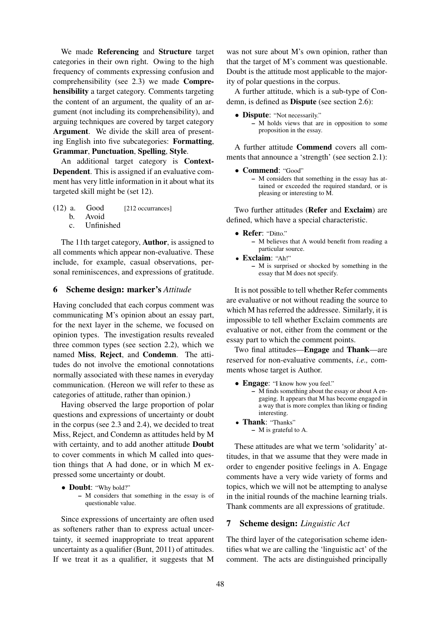We made Referencing and Structure target categories in their own right. Owing to the high frequency of comments expressing confusion and comprehensibility (see 2.3) we made Comprehensibility a target category. Comments targeting the content of an argument, the quality of an argument (not including its comprehensibility), and arguing techniques are covered by target category Argument. We divide the skill area of presenting English into five subcategories: Formatting, Grammar, Punctuation, Spelling, Style.

An additional target category is Context-Dependent. This is assigned if an evaluative comment has very little information in it about what its targeted skill might be (set 12).

 $(12)$  a. Good [212 occurrances] b. Avoid c. Unfinished

The 11th target category, Author, is assigned to all comments which appear non-evaluative. These include, for example, casual observations, personal reminiscences, and expressions of gratitude.

### 6 Scheme design: marker's *Attitude*

Having concluded that each corpus comment was communicating M's opinion about an essay part, for the next layer in the scheme, we focused on opinion types. The investigation results revealed three common types (see section 2.2), which we named Miss, Reject, and Condemn. The attitudes do not involve the emotional connotations normally associated with these names in everyday communication. (Hereon we will refer to these as categories of attitude, rather than opinion.)

Having observed the large proportion of polar questions and expressions of uncertainty or doubt in the corpus (see 2.3 and 2.4), we decided to treat Miss, Reject, and Condemn as attitudes held by M with certainty, and to add another attitude Doubt to cover comments in which M called into question things that A had done, or in which M expressed some uncertainty or doubt.

- Doubt: "Why bold?" – M considers that something in the essay is of
	- questionable value.

Since expressions of uncertainty are often used as softeners rather than to express actual uncertainty, it seemed inappropriate to treat apparent uncertainty as a qualifier (Bunt, 2011) of attitudes. If we treat it as a qualifier, it suggests that M was not sure about M's own opinion, rather than that the target of M's comment was questionable. Doubt is the attitude most applicable to the majority of polar questions in the corpus.

A further attitude, which is a sub-type of Condemn, is defined as Dispute (see section 2.6):

• **Dispute:** "Not necessarily." – M holds views that are in opposition to some proposition in the essay.

A further attitude Commend covers all comments that announce a 'strength' (see section 2.1):

#### • **Commend:** "Good"

– M considers that something in the essay has attained or exceeded the required standard, or is pleasing or interesting to M.

Two further attitudes (Refer and Exclaim) are defined, which have a special characteristic.

- Refer: "Ditto." – M believes that A would benefit from reading a particular source.
- Exclaim: "Ah!"
	- M is surprised or shocked by something in the essay that M does not specify.

It is not possible to tell whether Refer comments are evaluative or not without reading the source to which M has referred the addressee. Similarly, it is impossible to tell whether Exclaim comments are evaluative or not, either from the comment or the essay part to which the comment points.

Two final attitudes—Engage and Thank—are reserved for non-evaluative comments, *i.e.,* comments whose target is Author.

- Engage: "I know how you feel."
	- M finds something about the essay or about A engaging. It appears that M has become engaged in a way that is more complex than liking or finding interesting.
- Thank: "Thanks"
	- M is grateful to A.

These attitudes are what we term 'solidarity' attitudes, in that we assume that they were made in order to engender positive feelings in A. Engage comments have a very wide variety of forms and topics, which we will not be attempting to analyse in the initial rounds of the machine learning trials. Thank comments are all expressions of gratitude.

### 7 Scheme design: *Linguistic Act*

The third layer of the categorisation scheme identifies what we are calling the 'linguistic act' of the comment. The acts are distinguished principally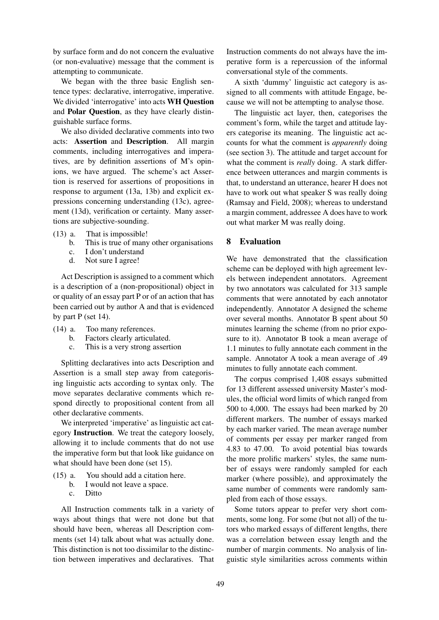by surface form and do not concern the evaluative (or non-evaluative) message that the comment is attempting to communicate.

We began with the three basic English sentence types: declarative, interrogative, imperative. We divided 'interrogative' into acts WH Question and Polar Question, as they have clearly distinguishable surface forms.

We also divided declarative comments into two acts: Assertion and Description. All margin comments, including interrogatives and imperatives, are by definition assertions of M's opinions, we have argued. The scheme's act Assertion is reserved for assertions of propositions in response to argument (13a, 13b) and explicit expressions concerning understanding (13c), agreement (13d), verification or certainty. Many assertions are subjective-sounding.

- (13) a. That is impossible!
	- b. This is true of many other organisations
	- c. I don't understand
	- d. Not sure I agree!

Act Description is assigned to a comment which is a description of a (non-propositional) object in or quality of an essay part P or of an action that has been carried out by author A and that is evidenced by part P (set 14).

- (14) a. Too many references.
	- b. Factors clearly articulated.
	- c. This is a very strong assertion

Splitting declaratives into acts Description and Assertion is a small step away from categorising linguistic acts according to syntax only. The move separates declarative comments which respond directly to propositional content from all other declarative comments.

We interpreted 'imperative' as linguistic act category Instruction. We treat the category loosely, allowing it to include comments that do not use the imperative form but that look like guidance on what should have been done (set 15).

- (15) a. You should add a citation here.
	- b. I would not leave a space.
	- c. Ditto

All Instruction comments talk in a variety of ways about things that were not done but that should have been, whereas all Description comments (set 14) talk about what was actually done. This distinction is not too dissimilar to the distinction between imperatives and declaratives. That Instruction comments do not always have the imperative form is a repercussion of the informal conversational style of the comments.

A sixth 'dummy' linguistic act category is assigned to all comments with attitude Engage, because we will not be attempting to analyse those.

The linguistic act layer, then, categorises the comment's form, while the target and attitude layers categorise its meaning. The linguistic act accounts for what the comment is *apparently* doing (see section 3). The attitude and target account for what the comment is *really* doing. A stark difference between utterances and margin comments is that, to understand an utterance, hearer H does not have to work out what speaker S was really doing (Ramsay and Field, 2008); whereas to understand a margin comment, addressee A does have to work out what marker M was really doing.

### 8 Evaluation

We have demonstrated that the classification scheme can be deployed with high agreement levels between independent annotators. Agreement by two annotators was calculated for 313 sample comments that were annotated by each annotator independently. Annotator A designed the scheme over several months. Annotator B spent about 50 minutes learning the scheme (from no prior exposure to it). Annotator B took a mean average of 1.1 minutes to fully annotate each comment in the sample. Annotator A took a mean average of .49 minutes to fully annotate each comment.

The corpus comprised 1,408 essays submitted for 13 different assessed university Master's modules, the official word limits of which ranged from 500 to 4,000. The essays had been marked by 20 different markers. The number of essays marked by each marker varied. The mean average number of comments per essay per marker ranged from 4.83 to 47.00. To avoid potential bias towards the more prolific markers' styles, the same number of essays were randomly sampled for each marker (where possible), and approximately the same number of comments were randomly sampled from each of those essays.

Some tutors appear to prefer very short comments, some long. For some (but not all) of the tutors who marked essays of different lengths, there was a correlation between essay length and the number of margin comments. No analysis of linguistic style similarities across comments within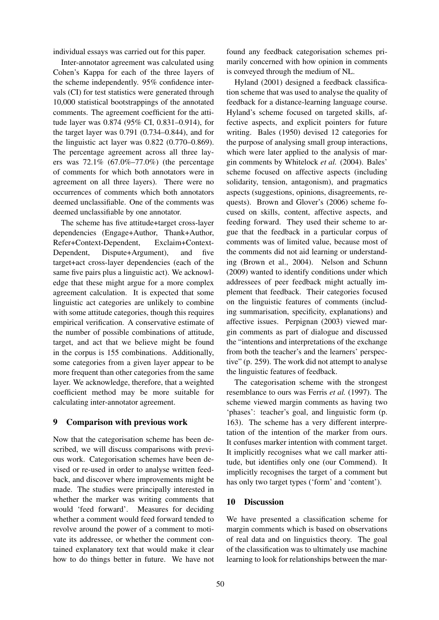individual essays was carried out for this paper.

Inter-annotator agreement was calculated using Cohen's Kappa for each of the three layers of the scheme independently. 95% confidence intervals (CI) for test statistics were generated through 10,000 statistical bootstrappings of the annotated comments. The agreement coefficient for the attitude layer was 0.874 (95% CI, 0.831–0.914), for the target layer was 0.791 (0.734–0.844), and for the linguistic act layer was 0.822 (0.770–0.869). The percentage agreement across all three layers was  $72.1\%$  (67.0%–77.0%) (the percentage of comments for which both annotators were in agreement on all three layers). There were no occurrences of comments which both annotators deemed unclassifiable. One of the comments was deemed unclassifiable by one annotator.

The scheme has five attitude+target cross-layer dependencies (Engage+Author, Thank+Author, Refer+Context-Dependent, Exclaim+Context-Dependent, Dispute+Argument), and five target+act cross-layer dependencies (each of the same five pairs plus a linguistic act). We acknowledge that these might argue for a more complex agreement calculation. It is expected that some linguistic act categories are unlikely to combine with some attitude categories, though this requires empirical verification. A conservative estimate of the number of possible combinations of attitude, target, and act that we believe might be found in the corpus is 155 combinations. Additionally, some categories from a given layer appear to be more frequent than other categories from the same layer. We acknowledge, therefore, that a weighted coefficient method may be more suitable for calculating inter-annotator agreement.

## 9 Comparison with previous work

Now that the categorisation scheme has been described, we will discuss comparisons with previous work. Categorisation schemes have been devised or re-used in order to analyse written feedback, and discover where improvements might be made. The studies were principally interested in whether the marker was writing comments that would 'feed forward'. Measures for deciding whether a comment would feed forward tended to revolve around the power of a comment to motivate its addressee, or whether the comment contained explanatory text that would make it clear how to do things better in future. We have not found any feedback categorisation schemes primarily concerned with how opinion in comments is conveyed through the medium of NL.

Hyland (2001) designed a feedback classification scheme that was used to analyse the quality of feedback for a distance-learning language course. Hyland's scheme focused on targeted skills, affective aspects, and explicit pointers for future writing. Bales (1950) devised 12 categories for the purpose of analysing small group interactions, which were later applied to the analysis of margin comments by Whitelock *et al.* (2004). Bales' scheme focused on affective aspects (including solidarity, tension, antagonism), and pragmatics aspects (suggestions, opinions, disagreements, requests). Brown and Glover's (2006) scheme focused on skills, content, affective aspects, and feeding forward. They used their scheme to argue that the feedback in a particular corpus of comments was of limited value, because most of the comments did not aid learning or understanding (Brown et al., 2004). Nelson and Schunn (2009) wanted to identify conditions under which addressees of peer feedback might actually implement that feedback. Their categories focused on the linguistic features of comments (including summarisation, specificity, explanations) and affective issues. Perpignan (2003) viewed margin comments as part of dialogue and discussed the "intentions and interpretations of the exchange from both the teacher's and the learners' perspective" (p. 259). The work did not attempt to analyse the linguistic features of feedback.

The categorisation scheme with the strongest resemblance to ours was Ferris *et al.* (1997). The scheme viewed margin comments as having two 'phases': teacher's goal, and linguistic form (p. 163). The scheme has a very different interpretation of the intention of the marker from ours. It confuses marker intention with comment target. It implicitly recognises what we call marker attitude, but identifies only one (our Commend). It implicitly recognises the target of a comment but has only two target types ('form' and 'content').

### 10 Discussion

We have presented a classification scheme for margin comments which is based on observations of real data and on linguistics theory. The goal of the classification was to ultimately use machine learning to look for relationships between the mar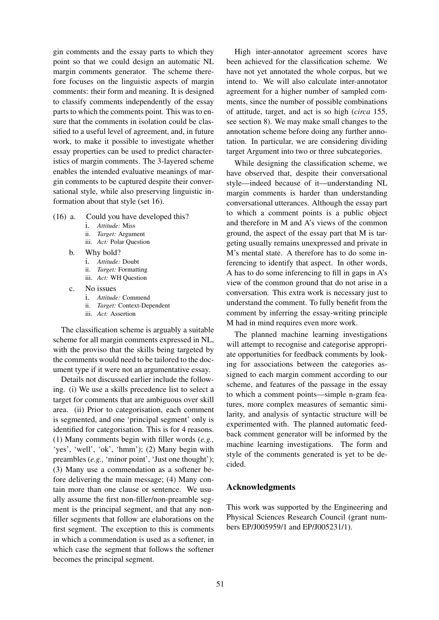gin comments and the essay parts to which they point so that we could design an automatic NL margin comments generator. The scheme therefore focuses on the linguistic aspects of margin comments: their form and meaning. It is designed to classify comments independently of the essay parts to which the comments point. This was to ensure that the comments in isolation could be classified to a useful level of agreement, and, in future work, to make it possible to investigate whether essay properties can be used to predict characteristics of margin comments. The 3-layered scheme enables the intended evaluative meanings of margin comments to be captured despite their conversational style, while also preserving linguistic information about that style (set 16).

- (16) a. Could you have developed this?
	- i. *Attitude:* Miss
	- ii. *Target:* Argument
	- iii. *Act:* Polar Question
	- b. Why bold?
		- i. *Attitude:* Doubt
		- ii. *Target:* Formatting
		- iii. *Act:* WH Question
	- c. No issues
		- i. *Attitude:* Commend
		- ii. *Target:* Context-Dependent
		- iii. *Act:* Assertion

The classification scheme is arguably a suitable scheme for all margin comments expressed in NL, with the proviso that the skills being targeted by the comments would need to be tailored to the document type if it were not an argumentative essay.

Details not discussed earlier include the following. (i) We use a skills precedence list to select a target for comments that are ambiguous over skill area. (ii) Prior to categorisation, each comment is segmented, and one 'principal segment' only is identified for categorisation. This is for 4 reasons. (1) Many comments begin with filler words (*e.g.,* 'yes', 'well', 'ok', 'hmm'); (2) Many begin with preambles (*e.g.,* 'minor point', 'Just one thought'); (3) Many use a commendation as a softener before delivering the main message; (4) Many contain more than one clause or sentence. We usually assume the first non-filler/non-preamble segment is the principal segment, and that any nonfiller segments that follow are elaborations on the first segment. The exception to this is comments in which a commendation is used as a softener, in which case the segment that follows the softener becomes the principal segment.

High inter-annotator agreement scores have been achieved for the classification scheme. We have not yet annotated the whole corpus, but we intend to. We will also calculate inter-annotator agreement for a higher number of sampled comments, since the number of possible combinations of attitude, target, and act is so high (*circa* 155, see section 8). We may make small changes to the annotation scheme before doing any further annotation. In particular, we are considering dividing target Argument into two or three subcategories.

While designing the classification scheme, we have observed that, despite their conversational style—indeed because of it—understanding NL margin comments is harder than understanding conversational utterances. Although the essay part to which a comment points is a public object and therefore in M and A's views of the common ground, the aspect of the essay part that M is targeting usually remains unexpressed and private in M's mental state. A therefore has to do some inferencing to identify that aspect. In other words, A has to do some inferencing to fill in gaps in A's view of the common ground that do not arise in a conversation. This extra work is necessary just to understand the comment. To fully benefit from the comment by inferring the essay-writing principle M had in mind requires even more work.

The planned machine learning investigations will attempt to recognise and categorise appropriate opportunities for feedback comments by looking for associations between the categories assigned to each margin comment according to our scheme, and features of the passage in the essay to which a comment points—simple n-gram features, more complex measures of semantic similarity, and analysis of syntactic structure will be experimented with. The planned automatic feedback comment generator will be informed by the machine learning investigations. The form and style of the comments generated is yet to be decided.

### Acknowledgments

This work was supported by the Engineering and Physical Sciences Research Council (grant numbers EP/J005959/1 and EP/J005231/1).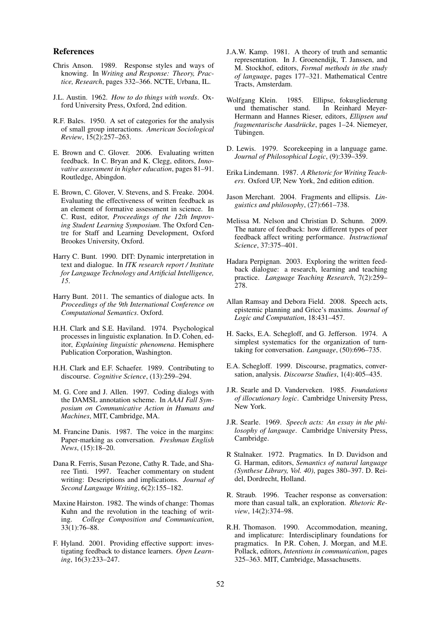#### References

- Chris Anson. 1989. Response styles and ways of knowing. In *Writing and Response: Theory, Practice, Research*, pages 332–366. NCTE, Urbana, IL.
- J.L. Austin. 1962. *How to do things with words*. Oxford University Press, Oxford, 2nd edition.
- R.F. Bales. 1950. A set of categories for the analysis of small group interactions. *American Sociological Review*, 15(2):257–263.
- E. Brown and C. Glover. 2006. Evaluating written feedback. In C. Bryan and K. Clegg, editors, *Innovative assessment in higher education*, pages 81–91. Routledge, Abingdon.
- E. Brown, C. Glover, V. Stevens, and S. Freake. 2004. Evaluating the effectiveness of written feedback as an element of formative assessment in science. In C. Rust, editor, *Proceedings of the 12th Improving Student Learning Symposium*. The Oxford Centre for Staff and Learning Development, Oxford Brookes University, Oxford.
- Harry C. Bunt. 1990. DIT: Dynamic interpretation in text and dialogue. In *ITK research report / Institute for Language Technology and Artificial Intelligence, 15*.
- Harry Bunt. 2011. The semantics of dialogue acts. In *Proceedings of the 9th International Conference on Computational Semantics*. Oxford.
- H.H. Clark and S.E. Haviland. 1974. Psychological processes in linguistic explanation. In D. Cohen, editor, *Explaining linguistic phenomena*. Hemisphere Publication Corporation, Washington.
- H.H. Clark and E.F. Schaefer. 1989. Contributing to discourse. *Cognitive Science*, (13):259–294.
- M. G. Core and J. Allen. 1997. Coding dialogs with the DAMSL annotation scheme. In *AAAI Fall Symposium on Communicative Action in Humans and Machines*, MIT, Cambridge, MA.
- M. Francine Danis. 1987. The voice in the margins: Paper-marking as conversation. *Freshman English News*, (15):18–20.
- Dana R. Ferris, Susan Pezone, Cathy R. Tade, and Sharee Tinti. 1997. Teacher commentary on student writing: Descriptions and implications. *Journal of Second Language Writing*, 6(2):155–182.
- Maxine Hairston. 1982. The winds of change: Thomas Kuhn and the revolution in the teaching of writing. *College Composition and Communication*, 33(1):76–88.
- F. Hyland. 2001. Providing effective support: investigating feedback to distance learners. *Open Learning*, 16(3):233–247.
- J.A.W. Kamp. 1981. A theory of truth and semantic representation. In J. Groenendijk, T. Janssen, and M. Stockhof, editors, *Formal methods in the study of language*, pages 177–321. Mathematical Centre Tracts, Amsterdam.
- Wolfgang Klein. 1985. Ellipse, fokusgliederung und thematischer stand. In Reinhard Meyer-Hermann and Hannes Rieser, editors, *Ellipsen und fragmentarische Ausdrücke*, pages 1–24. Niemeyer, Tübingen.
- D. Lewis. 1979. Scorekeeping in a language game. *Journal of Philosophical Logic*, (9):339–359.
- Erika Lindemann. 1987. *A Rhetoric for Writing Teachers*. Oxford UP, New York, 2nd edition edition.
- Jason Merchant. 2004. Fragments and ellipsis. *Linguistics and philosophy*, (27):661–738.
- Melissa M. Nelson and Christian D. Schunn. 2009. The nature of feedback: how different types of peer feedback affect writing performance. *Instructional Science*, 37:375–401.
- Hadara Perpignan. 2003. Exploring the written feedback dialogue: a research, learning and teaching practice. *Language Teaching Research*, 7(2):259– 278.
- Allan Ramsay and Debora Field. 2008. Speech acts, epistemic planning and Grice's maxims. *Journal of Logic and Computation*, 18:431–457.
- H. Sacks, E.A. Schegloff, and G. Jefferson. 1974. A simplest systematics for the organization of turntaking for conversation. *Language*, (50):696–735.
- E.A. Schegloff. 1999. Discourse, pragmatics, conversation, analysis. *Discourse Studies*, 1(4):405–435.
- J.R. Searle and D. Vanderveken. 1985. *Foundations of illocutionary logic*. Cambridge University Press, New York.
- J.R. Searle. 1969. *Speech acts: An essay in the philosophy of language*. Cambridge University Press, Cambridge.
- R Stalnaker. 1972. Pragmatics. In D. Davidson and G. Harman, editors, *Semantics of natural language (Synthese Library, Vol. 40)*, pages 380–397. D. Reidel, Dordrecht, Holland.
- R. Straub. 1996. Teacher response as conversation: more than casual talk, an exploration. *Rhetoric Review*, 14(2):374–98.
- R.H. Thomason. 1990. Accommodation, meaning, and implicature: Interdisciplinary foundations for pragmatics. In P.R. Cohen, J. Morgan, and M.E. Pollack, editors, *Intentions in communication*, pages 325–363. MIT, Cambridge, Massachusetts.